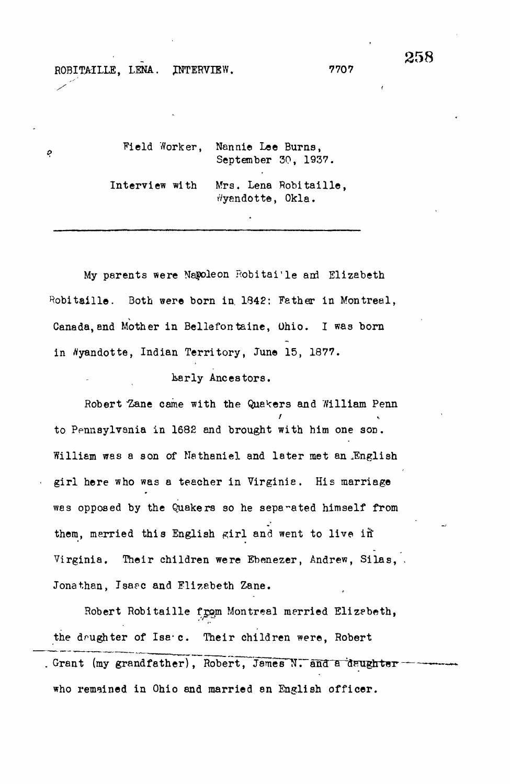ó

Field Worker, Nannie Lee Burns, September 30, 1937. Interview with Mrs. Lena Robitaille, v/yendotte, Okla.

My parents were Napoleon Robitai'le and Elizabeth Robitaille. Both were born in, 1842; Father in Montreal, Canada, and Mother in Bellefontaine, Ohio. I was born in Nyandotte, Indian Territory, June 15, 1877.

karly Ancestors.

Robert "Zane came with the Quakers and William Penn to Pennsylvania in 1682 and brought with him one son, William was a son of Nathaniel and later met an English girl here who was a teacher in Virginia. His marriage was opposed by the Quakers so he separated himself from them, merried this English girl and went to live in Virginia. Their children were Ebenezer, Andrew, Silas, . Jonathan, Tsaec and Elizabeth Zane.

Robert Robitaille from Montreal merried Elizabeth, the daughter of Isa.c. Their children were, Robert . Grant (my grandfather), Robert, James N. and a daughter who remained in Ohio and married an English officer.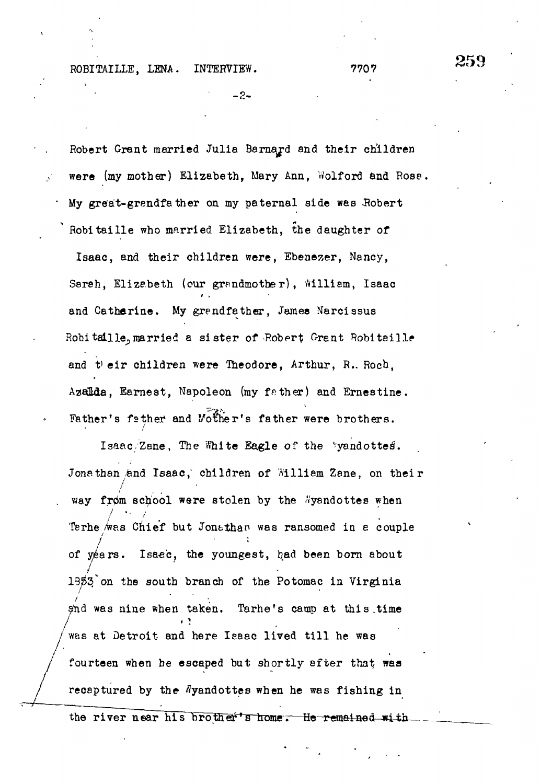**>**

**- 2 -**

Robert Grant married Julia Barnard and their children were (my mother) Elizabeth, Mary Ann, Wolford and Rose. My great-grendfather on my paternal side was Robert Robitaille who married Elizabeth, the daughter of Isaac, and their children were, Ebenezer, Nancy, Sareh, Elizabeth (our grandmother), William, Isaac and Catharine. My grandfather, James Narcissus Robitaille, married a sister of Robert Grant Robiteille and their children were Theodore, Arthur, R. Roch, Azalda, Earnest, Napoleon (my father) and Ernestine. Father's father and Mother's father were brothers.

Isaac/Zane, The White Eagle of the 'yandottes. Jonathan and Isaac, children of William Zane, on their way from school were stolen by the Wysndottes when . way from school were stolen by the stolen by the stolen by the stolen by the stolen by the stolen by the stolen by the stolen by the stolen by the stolen by the stolen by the stolen by the stolen by the stolen by the st Terme / $\mathcal{L}$  as Chief but Jontthan was ransomed in equation was random in equation  $\mathcal{L}$  $\mathcal{L}_{\mathbf{x}}$  years. Is also been born about the youngest, had been born about the youngest, had been born about the youngest,  $\mathcal{L}_{\mathbf{x}}$  $2f$  on the south branch of the south branch of the Potomac in  $\mathcal{L}$ was nine when taken. Tarhe's camp at this.time was at Detroit and here Isaac lived till he was fourteen when he escaped but shortly after that was recaptured by the Nyandottes when he was fishing in

the river near his brother's home. He-remained with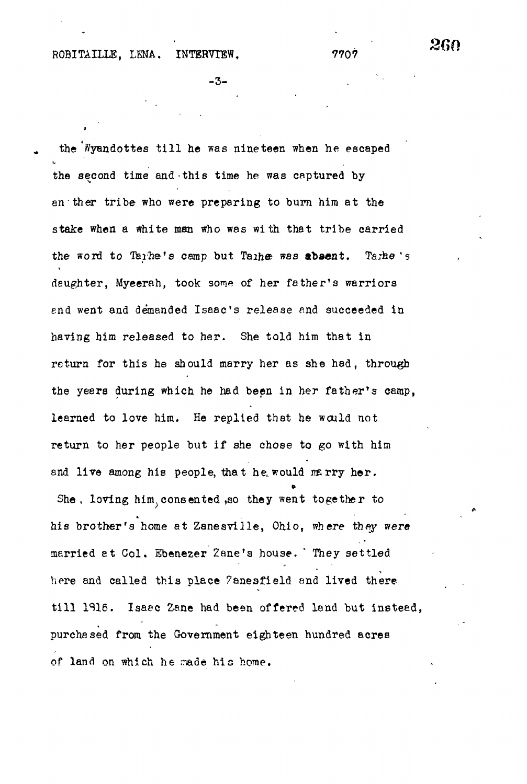$-3-$  .

the Wyandottes till he was nineteen when he escaped the second time and this time he was captured by an ther tribe who were preparing to burn him at the stake when a white man who was with that tribe carried the word to Tarhe's camp but Taihe was abaant. Tazhe 's deughter, Myeerah, took some of her father's warriors end went and demanded Isaac's release and succeeded in having him released to her. She told him that in return for this he should marry her as she hed, through the years during which he had been in her father's camp, learned to love him. He replied that he would not return to her people but if she chose to go with him and live among his people, that he, would marry her. She, loving him<sub>,</sub> consented ,so they went together to his brother's home at Zanesville, Ohio, where they were married et Col. Ebenezer Zane's house. They settled here and called this place 7aneafield and lived there till 1916. Isaac Zane had been offered land but instead, purchased from the Government eighteen hundred acres of land on which he made his home.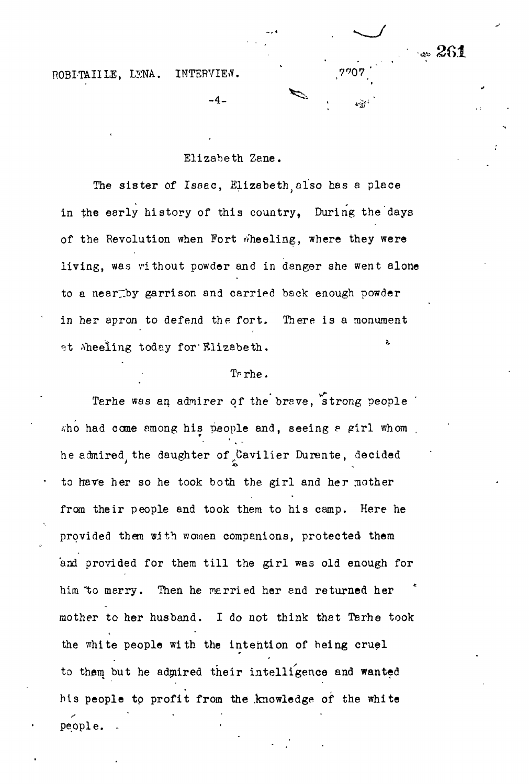• 261

# Elizabeth Zene.

-4-

The sister of Issac, Elizabeth also has a place in the early history of this country, During the days of the Revolution when Fort wheeling, where they were living, was vithout powder and in danger she went alone to a neartby garrison and carried back enough powder in her apron to defend the fort. There is a monument at Mheeling today for Elizabeth. the contract of the contract of the contract of the contract of the contract of the contract of the contract o

## Tr rhe .

Terhe was an admirer of the brave, strong people sho had come among his people and, seeing a girl whom . he admired, the daughter of Cavilier Durente, decided to have her so he took both the girl and her mother from their people and took them to his camp. Here he provided them with women companions, protected them and provided for them till the girl was old enough for him "to marry. Then he married her and returned her mother to her husband. I do not think that Tarhe took the white people with the intention of being cruel to them but he admired their intelligence and wanted his people to profit from the knowledge of the white people.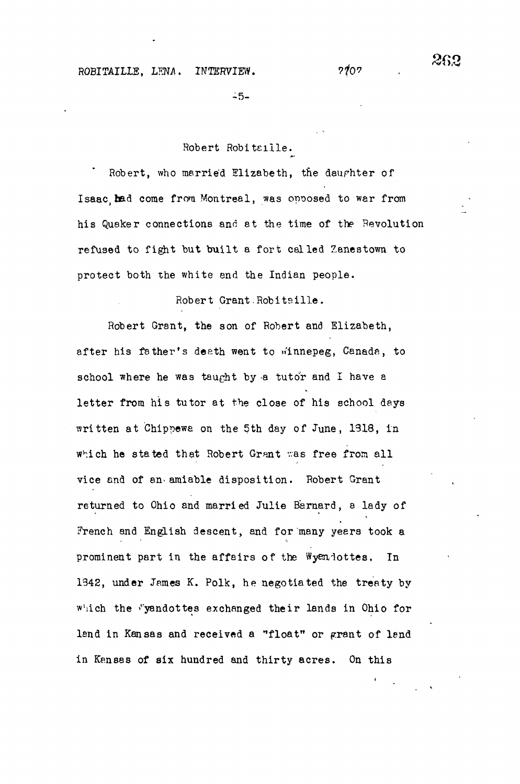$-5-$ 

Robert Robitaille.

Robert, who married Elizabeth, the daughter of Isaac, had come from Montreal, was opposed to war from his Quaker connections and at the time of the Revolution refused to fight but built a fort celled Zanestown to protect both the white end the Indian people.

Robert Grant Robitsille.

Robert Grant, the son of Robert and Elizabeth, after his father's death went to winnepeg, Canada, to school where he was taught by a tutor and I have a letter from his tutor at the close of his school days written at Chippewa on the 5th day of June, 1318, in which he stated that Robert Grant was free from all vice and of an-amiable disposition. Robert Grant returned to Ohio and married Julie Barnard, a lady of French and English descent, and for many years took a prominent part in the affairs of the Wyendottes. In 1342, under James K. Polk, he negotiated the treaty by which the Vyandottes exchanged their lands in Ohio for lend in Kansas and received a "float" or grant of lend in Kansas of six hundred and thirty acres. On this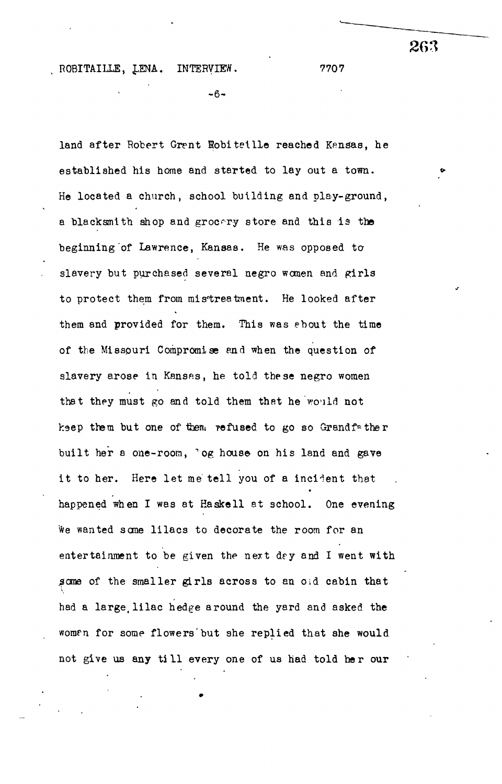$-6-$ 

land after Robert Grent Hobiteille reached Kenaas, he established his home and started to lay out a town. < He located a church, school building and play-ground, a blacksmith shop and grocery store and this is the beginning of Lawrence, Kansas. He was opposed to slavery but purchased several negro women and girls to protect them from mis'treatment. He looked after them and provided for them. This was ebout the time of the Missouri Compromise end when the question of slavery arose in Kansas, he told these negro women that they must go and told them that he would not keep them but one of them refused to go so Grandfather built her a one-room, 'og house on his land and gave it to her. Here let me tell you of a incident that happened when I was at Haskell at school. One evening happened when I was at Haskell at school. One evening We wanted some lilacs to decorate the room for an  $\mathcal{M}(\mathcal{M})$  we wanted sancted sancted sancted sancted sancted sancted sancted sancted sancted sancted sancted sancted sancted sancted sancted sancted sancted sancted sancted sancted sancted sancted sancted sancted sanc entertainment to be given the next dry and I went dry and I went with the next dry and I went with the next dry some of the smaller girls across to an old cabin that . Sance of the smaller girls across to an oid cabin that  $\alpha$ had a large lilac hedge around the yard and asked the woman for some flowers but she replied that she would women for some flowers  $\mathcal{L}_{\mathcal{S}}$  but she replied that she would that she would that she would that she would not give us any till every one of us had told her our not give us any til l every one of us had to lead to lead to lead to lead to lead to lead to lead to lead to l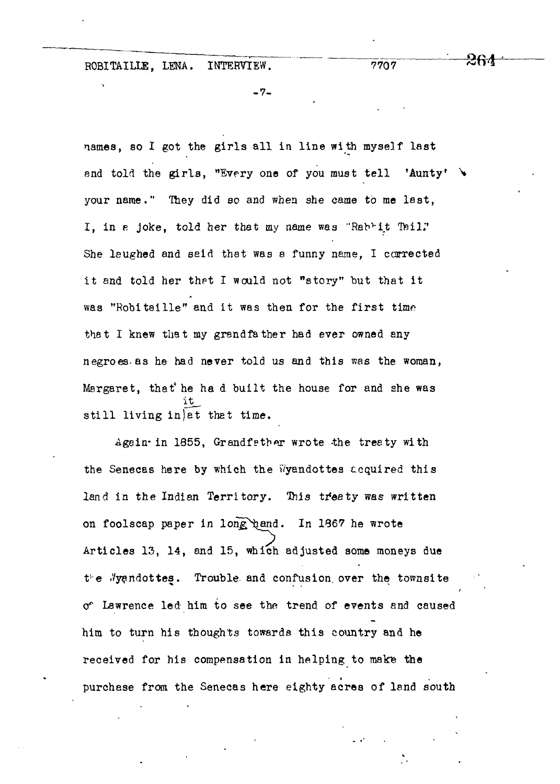-7-

names, so I got the girls all in line with myself last and told the girls, "Every one of you must tell 'Aunty' your name." They did so and when she came to me last, I, in a joke, told her that my name was "Rah<sup>r</sup>it Tail," She laughed and said that was a funny name, I corrected it and told her thet I would not "story" but that it was "Robiteille" and it was then for the first time that I knew that my grandfather had ever owned any negroes, as he had never told us and this was the woman, Margaret, that" he ha d built the house for and she was still living in et that time.

Again-in 1855, Grandfether wrote the treaty with the Senecas here by which the Wyandottes acquired this land in the Indian Territory. This treaty was written on foolscap paper in long hand. In 1867 he wrote Articles 13, 14, and 15, which adjusted some moneys due *Ve* .Vyandottes. Trouble and confusion, over the townsite o\* Lawrence led him to see the trend of events and caused him to turn his thoughts towards this country and he received for his compensation in helping to make the purchase from the Senecas here eighty acres of land south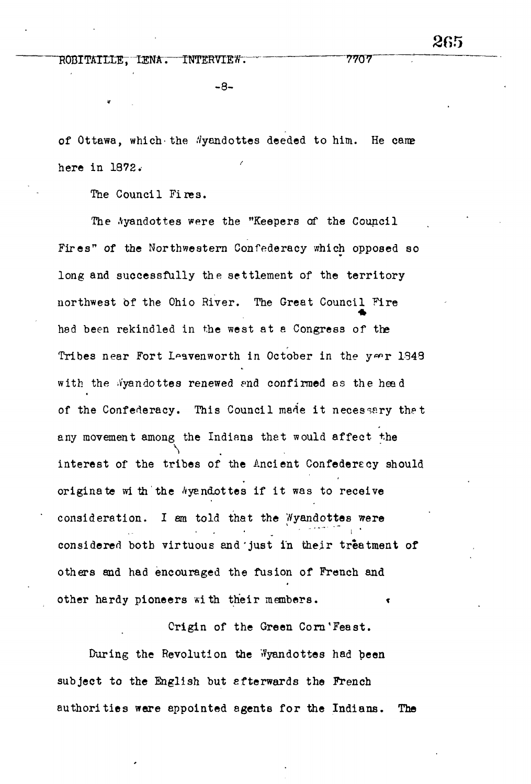$-8-$ 

of Ottawa, which the *Nyandottes deeded* to him. He came here in 1972.•

The Council Fires.

The Ayandottes were the "Keepers of the Council Fires" of the Northwestern Confederacy which opposed so long and successfully the settlement of the territory northwest bf the Ohio River. The Great Council Fire had been rekindled in the west at e Congress of the Tribes near Fort Leavenworth in October in the year 1348 with the Wyandottes renewed and confirmed as the head of the Confederacy. This Council made it necessary that any movement among the Indians thet would affect the interest of the tribes of the Ancient Confederecy should originate with the Ayandottes if it was to receive consideration. I am told that the Wyandottes were considered both virtuous and'just in their treatment of others and had encouraged the fusion of French and other hardy pioneers with their members.

Origin of the Green Corn'Feast. During the Revolution the Wyandottes had been subject to the English but afterwards the French authorities were appointed agents for the Indians. The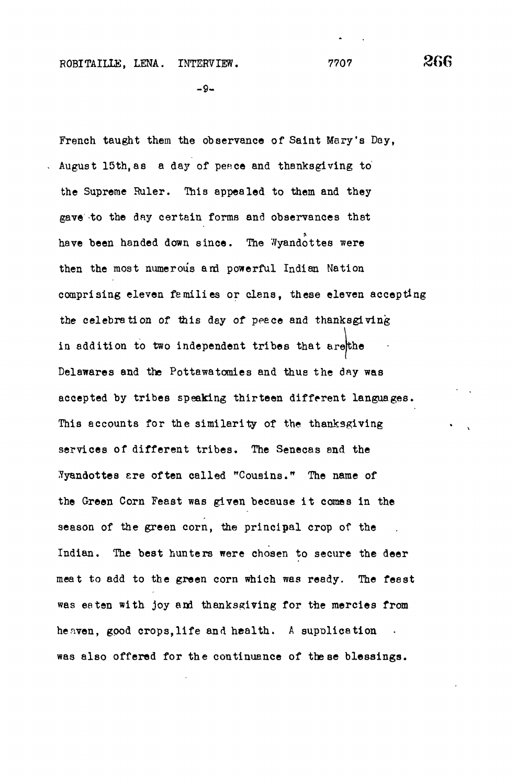$-9-$ 

French taught them the observance of Saint Mary's Day, August 15th, as a day of peace and thanksgiving to the Supreme Ruler. This appealed to them and they gave to the day certain forms and observances that have been handed down since. The  $\sqrt[n]{$ yandottes were then the most numerous and powerful Indian Nation comprising eleven families or clans, these eleven accepting the celebration of this day of peace and thanksgiving in addition to two independent tribes that are the Delawares and the Pottawatomies and thus the day was accepted by tribes speaking thirteen different languages. This accounts for the similarity of the thanksgiving services of different tribes. The Senecas and the Tyandottes are often called "Cousins." The name of the Green Corn Feast was given because it comes in the season of the green corn, the principal crop of the Indian. The best hunters were chosen to secure the deer meat to add to the green corn which was ready. The feast was eaten with joy and thanksgiving for the mercies from heaven, good crops, life and health. A supplication was also offered for the continuance of the se blessings.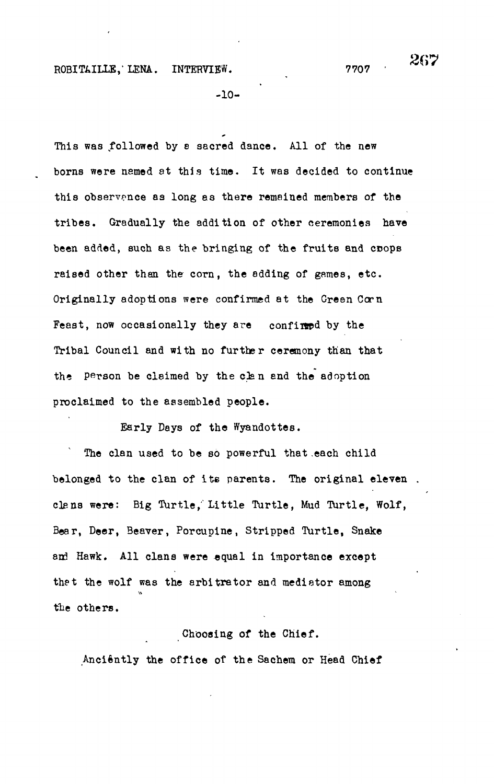-10-

This was followed by a sacred dance. All of the new boras were named at this time. It was decided to continue this observance as long as there remained members of the tribes. Gradually the addition of other ceremonies have been added, such as the bringing of the fruits and coops raised other than the corn, the adding of games, etc. Originally adoptions were confirmed at the Gresn Corn Feast, now occasionally they are confirmed by the Tribal Council and with no further ceremony than that the Person be claimed by the clan and the adoption proclaimed to the assembled people.

Early Days of the Wyandottes.

The clan used to be so powerful that each child belonged to the clan of its parents. The original eleven. clens were: Big Turtle, Little Turtle, Mud Turtle, Wolf, Bear, Deer, Beaver, Porcupine, Stripped Turtle, Snake and Hawk. All clans were equal in importance except thet the wolf was the arbitrator and mediator among the others.

### Choosing of the Chief.

Anciently the office of the Sachem or Head Chief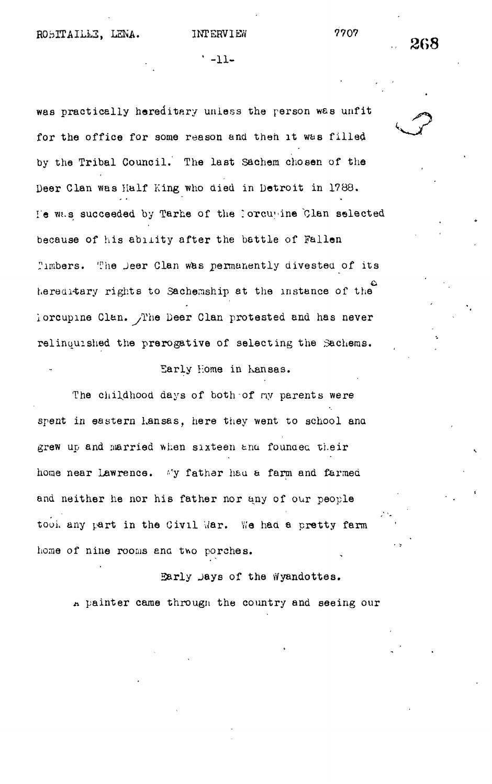' -11-

was practically hereditary unless the person was unfit for the office for some reason and then it was filled by the Tribal Council. The last Sachem chosen of the Deer Clan was Half King who died in Detroit in 1788. I'e w.s succeeded by Tarhe of the loTcu'ine Clan selected because of his ability after the battle of Fallen Timbers. The Jeer Clan was permanently divested of its hereditary rights to Sachemship at the instance of the iorcupme Clan. /The Deer Clan protested and has never relinquished the prerogative of selecting the Sachems.

### Early Home in Kansas.

The childhood days of both of ny parents were spent in eastern Lansas, here they went to school and grew up and married when sixteen and founded their home near Lawrence. My father had a farm and farmed and neither he nor his father nor any of our people took any part in the Civil War. We had a pretty farm home of nine rooms and two porches.

Early jays of the Wyandottes. A painter came through the country and seeing our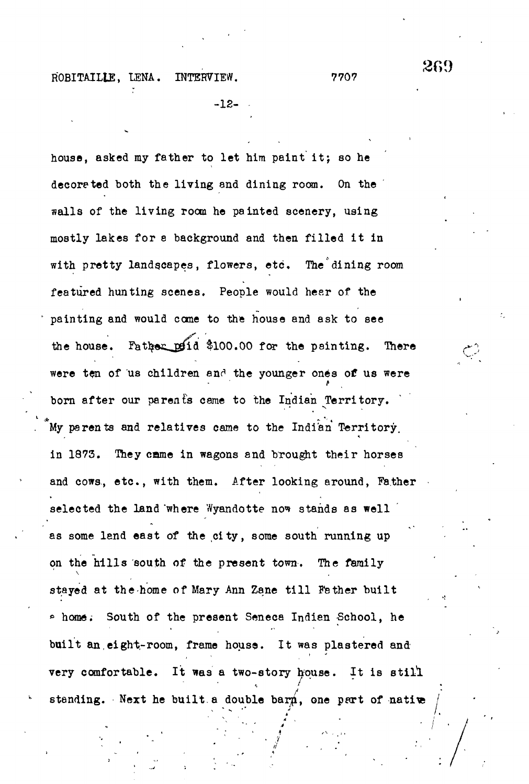-12-

house, asked my father to let him paint it; so he decoreted both the living and dining room. On the walls of the living room he painted scenery, using mostly lakes for a background and then filled it in with pretty landscapes, flowers, etc. The dining room featured hunting scenes. People would heer of the painting and would come to the house and ask to see the house. Father  $pfid$  \$100.00 for the painting. There were ten of us children and the younger ones of us were born after our parents came to the Indian Territory. My parents and relatives came to the Indian Territory, in 1873. They came in wagons and brought their horses and cows, etc., with them. After looking around, Father selected the land where Wyandotte now stands as well as some land east of the city, some south running up on the hills south of the present town. The family stayed at the home of Mary Ann Zane till Father built \* home. South of the present Seneca Indian School, he built an eight-room, frame house. It was plastered and very comfortable. It was a two-story house. It is still standing. Next he built a double barn, one part of native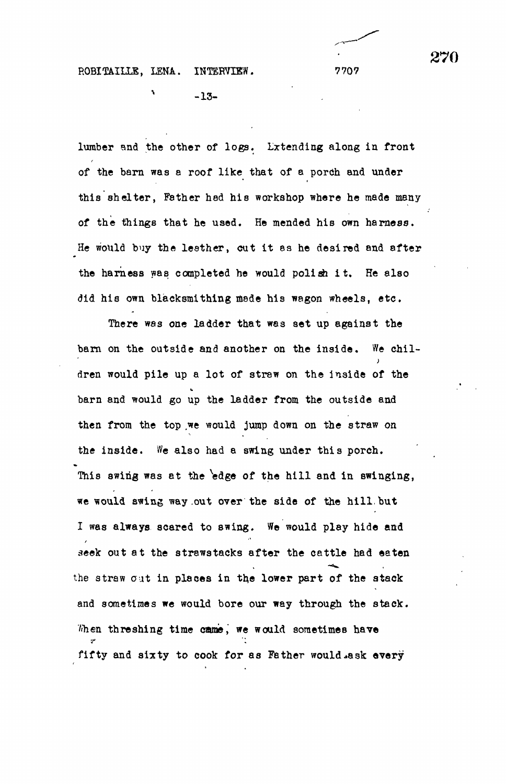% -13-

lumber and the other of logs. Lxtending along in front of the barn was a roof like that of a porch and under this shelter, Father had his workshop where he made many of the things that he used. He mended his own harness. He would buy the leather, cut it as he desired and after the harness was completed he would polish it. He also did his own blacksmithing made his wagon wheels, etc .

There was one ladder that was set up against the barn on the outside and another on the inside. We children would pile up a lot of strew on the inside of the barn and would go up the ladder from the outside and then from the top we would jump down on the straw on the inside. We also had a swing under this porch. This swing was at the edge of the hill and in swinging, we would swing way .out over the side of the hill, but I was always scared to swing. We would play hide and seek out at the strawstacks after the cattle had eaten the straw out in places in the lower part of the stack and sometimes we would bore our way through the stack. When threshing time came, we would sometimes have fifty and sixty to cook for as Father would ask every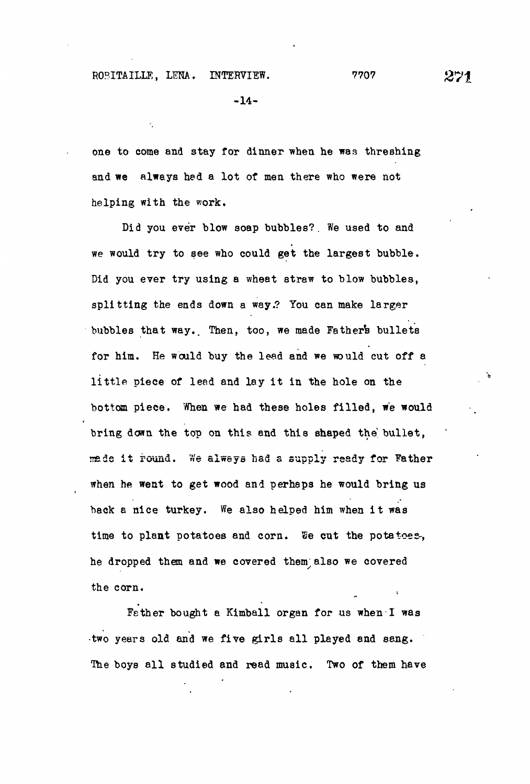-14-

one to come and stay for dinner when he was threshing and we always hed a lot of men there who were not helping with the work.

Did you ever blow soap bubbles?. We used to and we would try to see who could get the largest bubble. Did you ever try using a wheat straw to blow bubbles, splitting the ends down a way.? You can make larger bubbles that way. Then, too, we made Father's bullets for him. He would buy the lead and we would cut off a little piece of lead and lay it in the hole on the bottom piece. When we had these holes filled, we would bring down the top on this and this shaped the bullet, made it round. We always had a supply ready for Father when he went to get wood and perhaps he would bring us back a nice turkey. We also helped him when it was time to plant potatoes and corn. ®e cut the potatoes-, he dropped them and we covered them;also we covered the corn.

Fether bought a Kimball organ for us when I was -two years old and we five girls all played and sang. The boys all studied and read music. Two of them have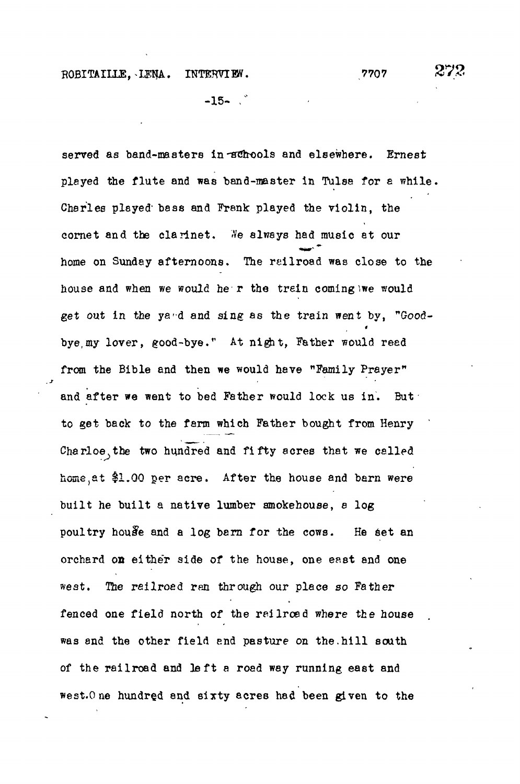$-15-$ 

served as band-masters in achools and elsewhere. Ernest played the flute and was band-master in Tulse for a while. Charles played" bass and Frank played the violin, the cornet and the clarinet. We always had music at our home on Sunday afternoons. The reilroad was close to the house and when we would he r the trein coming iwe would get out in the ya-d and sing as the train went by, "Goodbye, my lover, good-bye." At night, Father would read from the Bible and then we would have "Family Prayer" and after we went to bed Father would lock us in. But to get back to the farm which Father bought from Henry Charloe, the two hundred and fifty acres that we called home, at \$1.00 per acre. After the house and barn were built he built a native lumber smokehouse, 8 log poultry house and a log barn for the cows. He set an orchard on either side of the house, one east and one west. *The* reilroed ran through our place so Father fenced one field north of the reilroed where the house was and the other field end pasture on the.hill south of the railroad and left a road way running east and west.O ne hundred and sixty acres had been given to the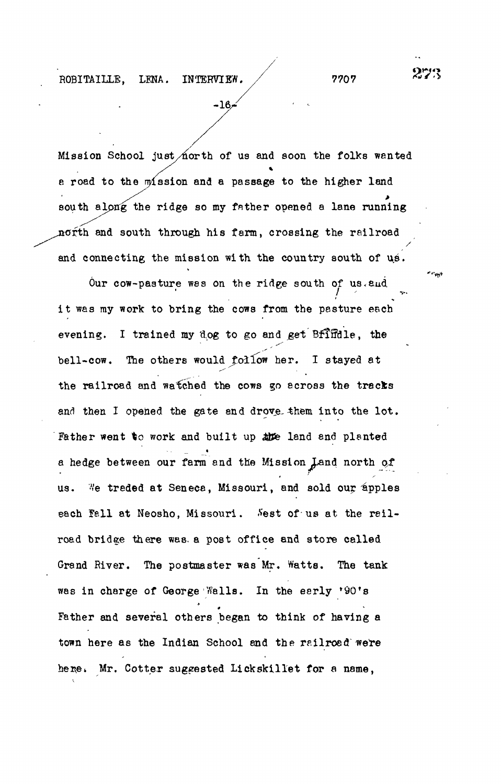Mission School just/north of us and soon the folks wanted a road to the  $m$ ission and a passage to the higher land south along the ridge so my fnther opened a lane running north and south through his farm, crossing the railroad and connecting the mission with the country south of us.

-16/

Our cow-pasture was on the ridge south of us. and it was my work to bring the cows from the pasture each evening. I trained my dog to go and get Bfffidle, the bell-cow. The others would follow her. I stayed at the railroad and watched the cows go across the tracks and then I opened the gate and drove-them into the lot. Father went to work and built up appe land and planted a hedge between our farm and the Mission land north *qt* us. We treded at Seneca, Missouri, and sold our apples each fall at Neosho, Missouri. Sest of us at the railroad bridge there was. a post office and store called Grand River. The postmaster was Mr. Watts. The tank was in charge of George Walls. In the early '90's Father and several others began to think of having a town here as the Indian School and the railroad were here. Mr. Cotter suggested Lickskillet for a name,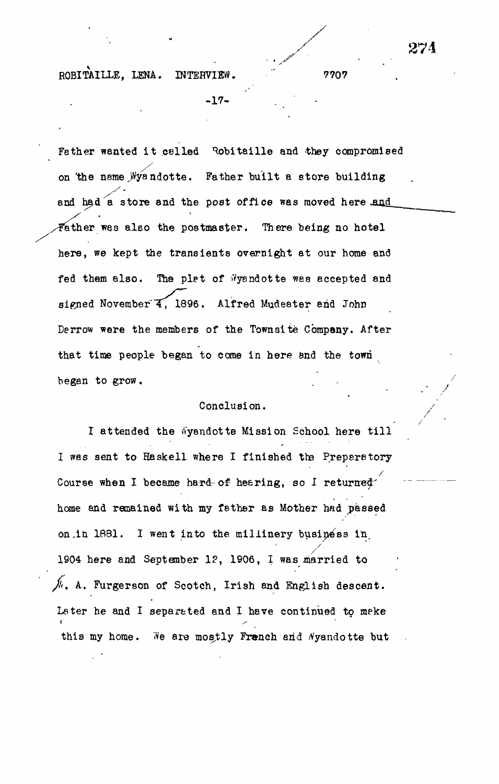$-17-$ 

Father wanted it called Robitaille and they compromised on the name Wyandotte. Father built a store building and had a store and the post office was moved here and Father was also the postmaster. There being no hotel here, we kept the transients overnight at our home and fed them also. The plat of Wyandotte was accepted and signed November 4, 1896. Alfred Mudeater and John Derrow were the members of the Townsite Company. After that time people began to come in here and the town began to grow.

# Conclusion.

I attended the wyandotte Mission School here till I was sent to Haskell where I finished the Preparatory Course when I became hard-of hearing, so I returned home and remained with my father as Mother had passed on .in 1891. I went into the millinery business in. 1904 here and September 1?, 1906, I was married to *jii.* A. Furgerson of Scotch, Irish and English descent. Later he and I separated and I have continued to meke this my home. We are mostly Franch and Nyandotte but